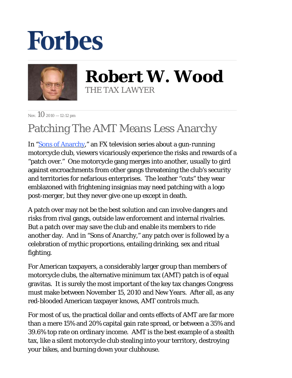## **Forbes**



**Robert W. Wood** THE TAX LAWYER

Nov.  $10$  2010 - 12:12 pm

## Patching The AMT Means Less Anarchy

In ["Sons of Anarchy](http://www.fxnetworks.com/shows/originals/soa/)," an FX television series about a gun-running motorcycle club, viewers vicariously experience the risks and rewards of a "patch over." One motorcycle gang merges into another, usually to gird against encroachments from other gangs threatening the club's security and territories for nefarious enterprises. The leather "cuts" they wear emblazoned with frightening insignias may need patching with a logo post-merger, but they never give one up except in death.

A patch over may not be the best solution and can involve dangers and risks from rival gangs, outside law enforcement and internal rivalries. But a patch over may save the club and enable its members to ride another day. And in "Sons of Anarchy," any patch over is followed by a celebration of mythic proportions, entailing drinking, sex and ritual fighting.

For American taxpayers, a considerably larger group than members of motorcycle clubs, the alternative minimum tax (AMT) patch is of equal gravitas. It is surely the most important of the key tax changes Congress must make between November 15, 2010 and New Years. After all, as any red-blooded American taxpayer knows, AMT controls much.

For most of us, the practical dollar and cents effects of AMT are far more than a mere 15% and 20% capital gain rate spread, or between a 35% and 39.6% top rate on ordinary income. AMT is the best example of a stealth tax, like a silent motorcycle club stealing into your territory, destroying your bikes, and burning down your clubhouse.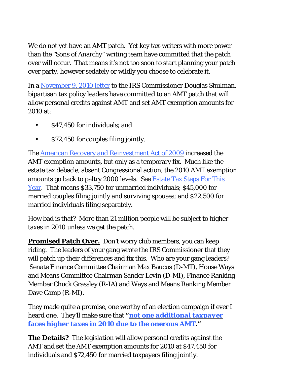We do not yet have an AMT patch. Yet key tax-writers with more power than the "Sons of Anarchy" writing team have committed that the patch over will occur. That means it's not too soon to start planning your patch over party, however sedately or wildly you choose to celebrate it.

In a [November 9, 2010 letter](http://finance.senate.gov/newsroom/chairman/release/?id=87ee21e0-ff40-4727-a0b2-a104c2a839ac) to the IRS Commissioner Douglas Shulman, bipartisan tax policy leaders have committed to an AMT patch that will allow personal credits against AMT and set AMT exemption amounts for 2010 at:

- \$47,450 for individuals; and
- \$72,450 for couples filing jointly.

The [American Recovery and Reinvestment Act of 2009](http://frwebgate.access.gpo.gov/cgi-bin/getdoc.cgi?dbname=111_cong_bills&docid=f:h1enr.pdf) increased the AMT exemption amounts, but only as a temporary fix. Much like the estate tax debacle, absent Congressional action, the 2010 AMT exemption amounts go back to paltry 2000 levels. See [Estate Tax Steps For This](http://blogs.forbes.com/robertwood/2010/11/09/estate-tax-steps-for-this-year/)  [Year.](http://blogs.forbes.com/robertwood/2010/11/09/estate-tax-steps-for-this-year/) That means \$33,750 for unmarried individuals; \$45,000 for married couples filing jointly and surviving spouses; and \$22,500 for married individuals filing separately.

How bad is that? More than 21 million people will be subject to higher taxes in 2010 unless we get the patch.

**Promised Patch Over.** Don't worry club members, you can keep riding. The leaders of your gang wrote the IRS Commissioner that they will patch up their differences and fix this. Who are your gang leaders? Senate Finance Committee Chairman Max Baucus (D-MT), House Ways and Means Committee Chairman Sander Levin (D-MI), Finance Ranking Member Chuck Grassley (R-IA) and Ways and Means Ranking Member Dave Camp (R-MI).

They made quite a promise, one worthy of an election campaign if ever I heard one. They'll make sure that *["not one additional taxpayer](http://finance.senate.gov/newsroom/chairman/release/?id=87ee21e0-ff40-4727-a0b2-a104c2a839ac)  [faces higher taxes in 2010 due to the onerous AMT."](http://finance.senate.gov/newsroom/chairman/release/?id=87ee21e0-ff40-4727-a0b2-a104c2a839ac)*

**The Details?** The legislation will allow personal credits against the AMT and set the AMT exemption amounts for 2010 at \$47,450 for individuals and \$72,450 for married taxpayers filing jointly.